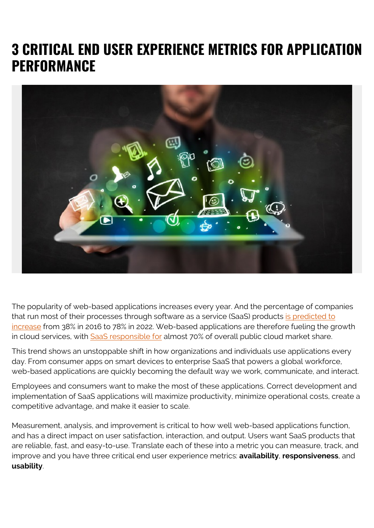# **3 CRITICAL END USER EXPERIENCE METRICS FOR APPLICATION PERFORMANCE**



The popularity of web-based applications increases every year. And the percentage of companies that run most of their processes through software as a service (SaaS) products [is predicted to](https://financesonline.com/2018-saas-industry-market-report-key-global-trends-growth-forecasts/) [increase](https://financesonline.com/2018-saas-industry-market-report-key-global-trends-growth-forecasts/) from 38% in 2016 to 78% in 2022. Web-based applications are therefore fueling the growth in cloud services, with [SaaS responsible for](https://www.zdnet.com/article/saas-leads-cloud-services-market-growth-in-2017/) almost 70% of overall public cloud market share.

This trend shows an unstoppable shift in how organizations and individuals use applications every day. From consumer apps on smart devices to enterprise SaaS that powers a global workforce, web-based applications are quickly becoming the default way we work, communicate, and interact.

Employees and consumers want to make the most of these applications. Correct development and implementation of SaaS applications will maximize productivity, minimize operational costs, create a competitive advantage, and make it easier to scale.

Measurement, analysis, and improvement is critical to how well web-based applications function, and has a direct impact on user satisfaction, interaction, and output. Users want SaaS products that are reliable, fast, and easy-to-use. Translate each of these into a metric you can measure, track, and improve and you have three critical end user experience metrics: **availability**, **responsiveness**, and **usability**.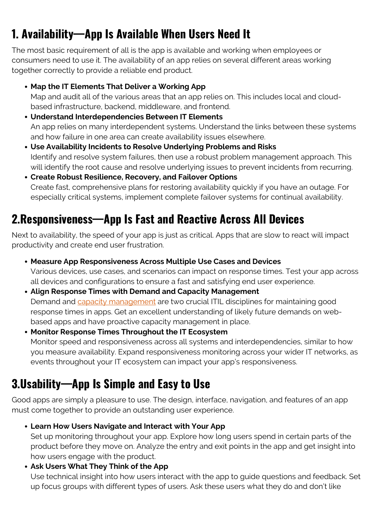## **1. Availability—App Is Available When Users Need It**

The most basic requirement of all is the app is available and working when employees or consumers need to use it. The availability of an app relies on several different areas working together correctly to provide a reliable end product.

- **Map the IT Elements That Deliver a Working App** Map and audit all of the various areas that an app relies on. This includes local and cloudbased infrastructure, backend, middleware, and frontend.
- **Understand Interdependencies Between IT Elements** An app relies on many interdependent systems. Understand the links between these systems and how failure in one area can create availability issues elsewhere.
- **Use Availability Incidents to Resolve Underlying Problems and Risks** Identify and resolve system failures, then use a robust problem management approach. This will identify the root cause and resolve underlying issues to prevent incidents from recurring.
- **Create Robust Resilience, Recovery, and Failover Options** Create fast, comprehensive plans for restoring availability quickly if you have an outage. For especially critical systems, implement complete failover systems for continual availability.

### **2.Responsiveness—App Is Fast and Reactive Across All Devices**

Next to availability, the speed of your app is just as critical. Apps that are slow to react will impact productivity and create end user frustration.

- **Measure App Responsiveness Across Multiple Use Cases and Devices** Various devices, use cases, and scenarios can impact on response times. Test your app across all devices and configurations to ensure a fast and satisfying end user experience.
- **Align Response Times with Demand and Capacity Management** Demand and [capacity management](https://blogs.bmc.com/blogs/it-capacity-management-planning/) are two crucial ITIL disciplines for maintaining good response times in apps. Get an excellent understanding of likely future demands on webbased apps and have proactive capacity management in place.
- **Monitor Response Times Throughout the IT Ecosystem** Monitor speed and responsiveness across all systems and interdependencies, similar to how you measure availability. Expand responsiveness monitoring across your wider IT networks, as events throughout your IT ecosystem can impact your app's responsiveness.

### **3.Usability—App Is Simple and Easy to Use**

Good apps are simply a pleasure to use. The design, interface, navigation, and features of an app must come together to provide an outstanding user experience.

**Learn How Users Navigate and Interact with Your App**

Set up monitoring throughout your app. Explore how long users spend in certain parts of the product before they move on. Analyze the entry and exit points in the app and get insight into how users engage with the product.

#### **Ask Users What They Think of the App**

Use technical insight into how users interact with the app to guide questions and feedback. Set up focus groups with different types of users. Ask these users what they do and don't like